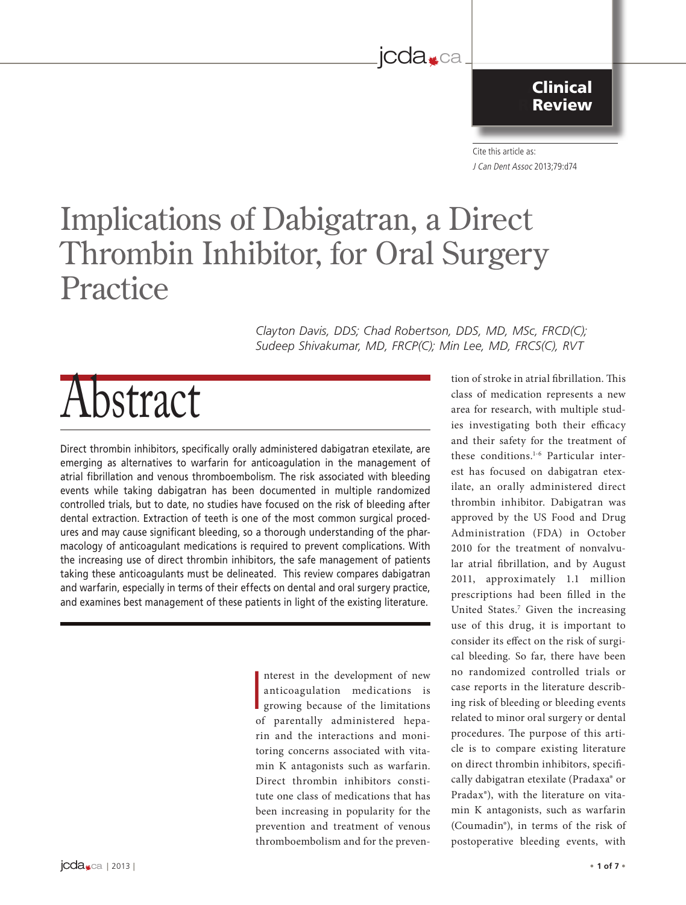### jcda<sub>sca</sub>

The Canadian Dental Association

#### **Clinical Review**

l'Association dentaire canadienne Cite this article as: J Can Dent Assoc 2013;79:d74

# Implications of Dabigatran, a Direct Thrombin Inhibitor, for Oral Surgery Practice

*Clayton Davis, DDS; Chad Robertson, DDS, MD, MSc, FRCD(C); Sudeep Shivakumar, MD, FRCP(C); Min Lee, MD, FRCS(C), RVT*

# Abstract

Direct thrombin inhibitors, specifically orally administered dabigatran etexilate, are emerging as alternatives to warfarin for anticoagulation in the management of atrial fibrillation and venous thromboembolism. The risk associated with bleeding events while taking dabigatran has been documented in multiple randomized controlled trials, but to date, no studies have focused on the risk of bleeding after dental extraction. Extraction of teeth is one of the most common surgical procedures and may cause significant bleeding, so a thorough understanding of the pharmacology of anticoagulant medications is required to prevent complications. With the increasing use of direct thrombin inhibitors, the safe management of patients taking these anticoagulants must be delineated. This review compares dabigatran and warfarin, especially in terms of their effects on dental and oral surgery practice, and examines best management of these patients in light of the existing literature.

> $\overline{\phantom{0}}$ nterest in the development of new anticoagulation medications is growing because of the limitations of parentally administered heparin and the interactions and monitoring concerns associated with vitamin K antagonists such as warfarin. Direct thrombin inhibitors constitute one class of medications that has been increasing in popularity for the prevention and treatment of venous thromboembolism and for the preven

tion of stroke in atrial fibrillation. This class of medication represents a new area for research, with multiple studies investigating both their efficacy and their safety for the treatment of these conditions.1-6 Particular interest has focused on dabigatran etexilate, an orally administered direct thrombin inhibitor. Dabigatran was approved by the US Food and Drug Administration (FDA) in October 2010 for the treatment of nonvalvular atrial fibrillation, and by August 2011, approximately 1.1 million prescriptions had been filled in the United States.<sup>7</sup> Given the increasing use of this drug, it is important to consider its effect on the risk of surgical bleeding. So far, there have been no randomized controlled trials or case reports in the literature describing risk of bleeding or bleeding events related to minor oral surgery or dental procedures. The purpose of this article is to compare existing literature on direct thrombin inhibitors, specifically dabigatran etexilate (Pradaxa® or Pradax®), with the literature on vitamin K antagonists, such as warfarin (Coumadin®), in terms of the risk of postoperative bleeding events, with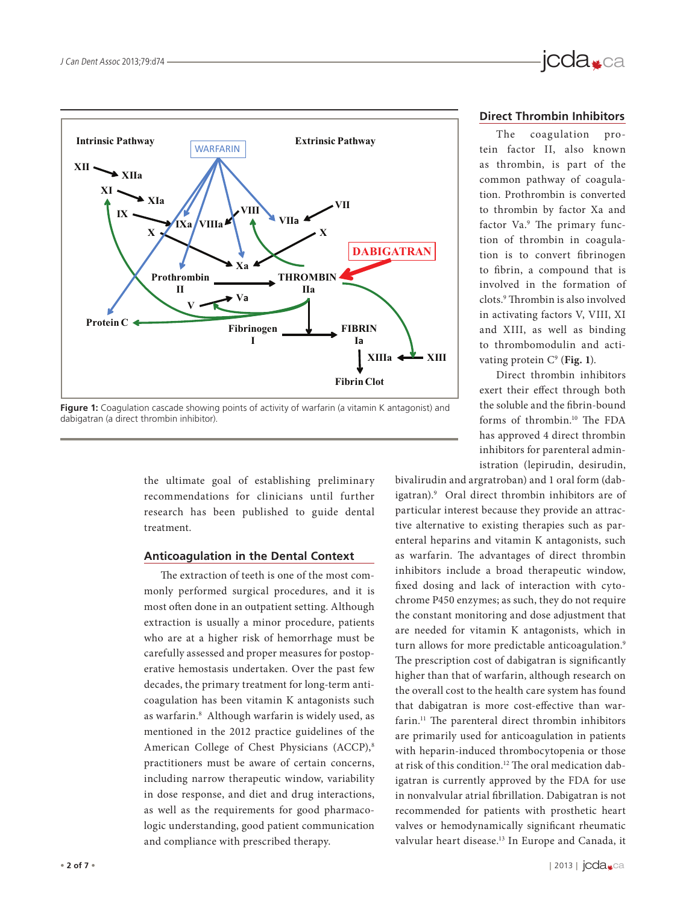

**Figure 1:** Coagulation cascade showing points of activity of warfarin (a vitamin K antagonist) and dabigatran (a direct thrombin inhibitor).

the ultimate goal of establishing preliminary recommendations for clinicians until further research has been published to guide dental treatment.

#### **Anticoagulation in the Dental Context**

The extraction of teeth is one of the most commonly performed surgical procedures, and it is most often done in an outpatient setting. Although extraction is usually a minor procedure, patients who are at a higher risk of hemorrhage must be carefully assessed and proper measures for postoperative hemostasis undertaken. Over the past few decades, the primary treatment for long-term anticoagulation has been vitamin K antagonists such as warfarin.8 Although warfarin is widely used, as mentioned in the 2012 practice guidelines of the American College of Chest Physicians (ACCP),<sup>8</sup> practitioners must be aware of certain concerns, including narrow therapeutic window, variability in dose response, and diet and drug interactions, as well as the requirements for good pharmacologic understanding, good patient communication and compliance with prescribed therapy.

## jcda<sub>sca</sub>

#### **Direct Thrombin Inhibitors**

The coagulation protein factor II, also known as thrombin, is part of the common pathway of coagulation. Prothrombin is converted to thrombin by factor Xa and factor Va.<sup>9</sup> The primary function of thrombin in coagulation is to convert fibrinogen to fibrin, a compound that is involved in the formation of clots.9 Thrombin is also involved in activating factors V, VIII, XI and XIII, as well as binding to thrombomodulin and activating protein  $C^9$  (Fig. 1).

Direct thrombin inhibitors exert their effect through both the soluble and the fibrin-bound forms of thrombin.10 The FDA has approved 4 direct thrombin inhibitors for parenteral administration (lepirudin, desirudin,

bivalirudin and argratroban) and 1 oral form (dabigatran).9 Oral direct thrombin inhibitors are of particular interest because they provide an attractive alternative to existing therapies such as parenteral heparins and vitamin K antagonists, such as warfarin. The advantages of direct thrombin inhibitors include a broad therapeutic window, fixed dosing and lack of interaction with cytochrome P450 enzymes; as such, they do not require the constant monitoring and dose adjustment that are needed for vitamin K antagonists, which in turn allows for more predictable anticoagulation.<sup>9</sup> The prescription cost of dabigatran is significantly higher than that of warfarin, although research on the overall cost to the health care system has found that dabigatran is more cost-effective than warfarin.<sup>11</sup> The parenteral direct thrombin inhibitors are primarily used for anticoagulation in patients with heparin-induced thrombocytopenia or those at risk of this condition.<sup>12</sup> The oral medication dabigatran is currently approved by the FDA for use in nonvalvular atrial fibrillation. Dabigatran is not recommended for patients with prosthetic heart valves or hemodynamically significant rheumatic valvular heart disease.<sup>13</sup> In Europe and Canada, it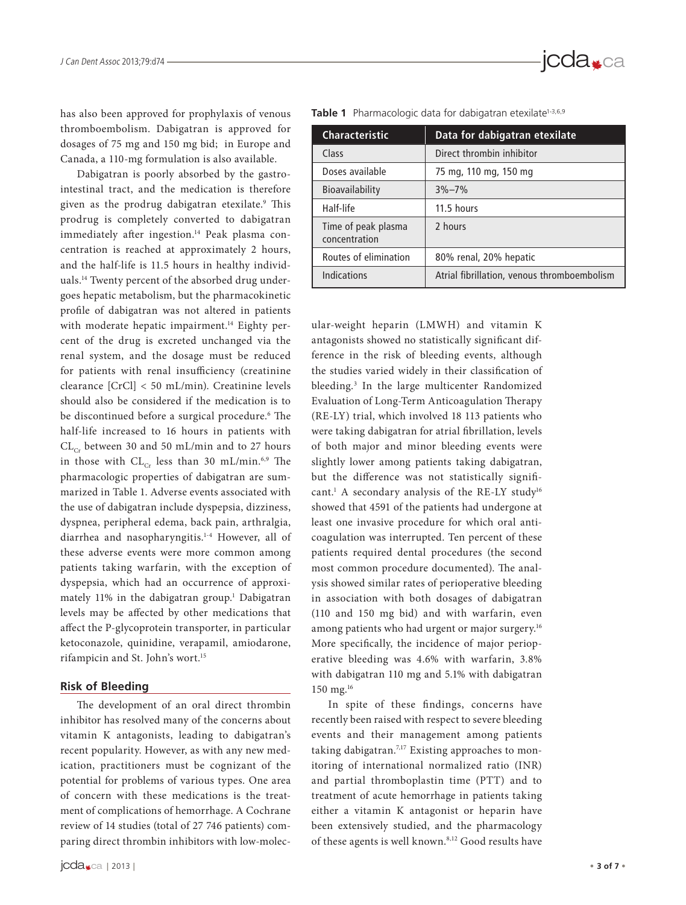has also been approved for prophylaxis of venous thromboembolism. Dabigatran is approved for dosages of 75 mg and 150 mg bid; in Europe and Canada, a 110-mg formulation is also available.

Dabigatran is poorly absorbed by the gastrointestinal tract, and the medication is therefore given as the prodrug dabigatran etexilate.<sup>9</sup> This prodrug is completely converted to dabigatran immediately after ingestion.<sup>14</sup> Peak plasma concentration is reached at approximately 2 hours, and the half-life is 11.5 hours in healthy individuals.14 Twenty percent of the absorbed drug undergoes hepatic metabolism, but the pharmacokinetic profile of dabigatran was not altered in patients with moderate hepatic impairment.<sup>14</sup> Eighty percent of the drug is excreted unchanged via the renal system, and the dosage must be reduced for patients with renal insufficiency (creatinine clearance [CrCl] < 50 mL/min). Creatinine levels should also be considered if the medication is to be discontinued before a surgical procedure.6 The half-life increased to 16 hours in patients with  $CL_{Cr}$  between 30 and 50 mL/min and to 27 hours in those with  $CL_{Cr}$  less than 30 mL/min.<sup>6,9</sup> The pharmacologic properties of dabigatran are summarized in Table 1. Adverse events associated with the use of dabigatran include dyspepsia, dizziness, dyspnea, peripheral edema, back pain, arthralgia, diarrhea and nasopharyngitis.1-4 However, all of these adverse events were more common among patients taking warfarin, with the exception of dyspepsia, which had an occurrence of approximately 11% in the dabigatran group.1 Dabigatran levels may be affected by other medications that affect the P-glycoprotein transporter, in particular ketoconazole, quinidine, verapamil, amiodarone, rifampicin and St. John's wort.15

#### **Risk of Bleeding**

The development of an oral direct thrombin inhibitor has resolved many of the concerns about vitamin K antagonists, leading to dabigatran's recent popularity. However, as with any new medication, practitioners must be cognizant of the potential for problems of various types. One area of concern with these medications is the treatment of complications of hemorrhage. A Cochrane review of 14 studies (total of 27 746 patients) comparing direct thrombin inhibitors with low-molec-

| <b>Characteristic</b>                | Data for dabigatran etexilate               |  |  |  |  |
|--------------------------------------|---------------------------------------------|--|--|--|--|
| Class                                | Direct thrombin inhibitor                   |  |  |  |  |
| Doses available                      | 75 mg, 110 mg, 150 mg                       |  |  |  |  |
| Bioavailability                      | $3\% - 7\%$                                 |  |  |  |  |
| Half-life                            | 11.5 hours                                  |  |  |  |  |
| Time of peak plasma<br>concentration | 2 hours                                     |  |  |  |  |
| Routes of elimination                | 80% renal, 20% hepatic                      |  |  |  |  |
| Indications                          | Atrial fibrillation, venous thromboembolism |  |  |  |  |

Table 1 Pharmacologic data for dabigatran etexilate<sup>1-3,6,9</sup>

ular-weight heparin (LMWH) and vitamin K antagonists showed no statistically significant difference in the risk of bleeding events, although the studies varied widely in their classification of bleeding.3 In the large multicenter Randomized Evaluation of Long-Term Anticoagulation Therapy (RE-LY) trial, which involved 18 113 patients who were taking dabigatran for atrial fibrillation, levels of both major and minor bleeding events were slightly lower among patients taking dabigatran, but the difference was not statistically significant.1 A secondary analysis of the RE-LY study16 showed that 4591 of the patients had undergone at least one invasive procedure for which oral anticoagulation was interrupted. Ten percent of these patients required dental procedures (the second most common procedure documented). The analysis showed similar rates of perioperative bleeding in association with both dosages of dabigatran (110 and 150 mg bid) and with warfarin, even among patients who had urgent or major surgery.<sup>16</sup> More specifically, the incidence of major perioperative bleeding was 4.6% with warfarin, 3.8% with dabigatran 110 mg and 5.1% with dabigatran 150 mg.16

In spite of these findings, concerns have recently been raised with respect to severe bleeding events and their management among patients taking dabigatran.<sup>7,17</sup> Existing approaches to monitoring of international normalized ratio (INR) and partial thromboplastin time (PTT) and to treatment of acute hemorrhage in patients taking either a vitamin K antagonist or heparin have been extensively studied, and the pharmacology of these agents is well known.<sup>8,12</sup> Good results have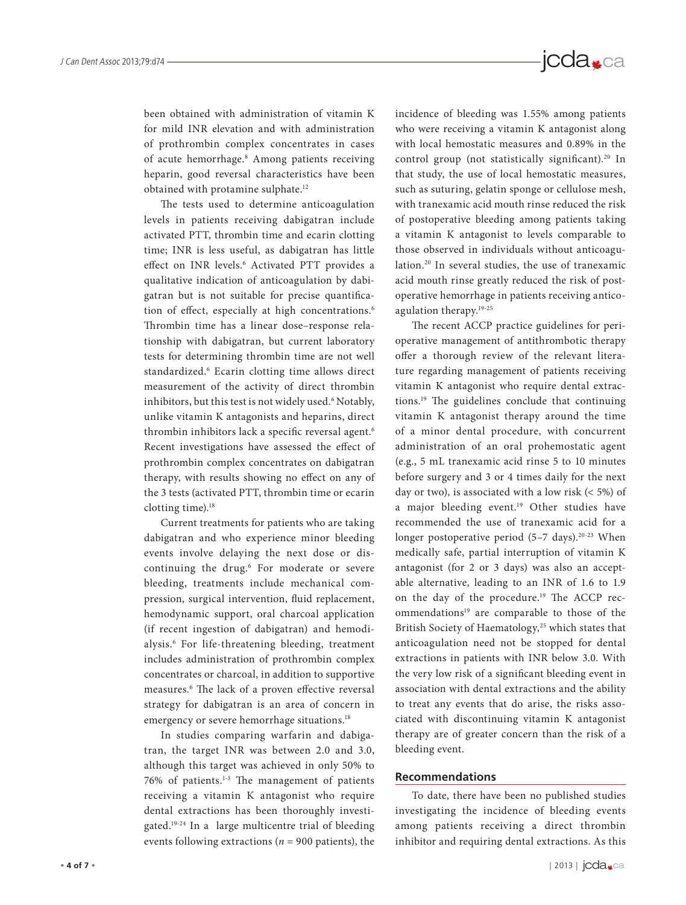

been obtained with administration of vitamin K for mild INR elevation and with administration of prothrombin complex concentrates in cases of acute hemorrhage.<sup>8</sup> Among patients receiving heparin, good reversal characteristics have been obtained with protamine sulphate.12

The tests used to determine anticoagulation levels in patients receiving dabigatran include activated PTT, thrombin time and ecarin clotting time; INR is less useful, as dabigatran has little effect on INR levels.<sup>6</sup> Activated PTT provides a qualitative indication of anticoagulation by dabigatran but is not suitable for precise quantification of effect, especially at high concentrations.<sup>6</sup> Thrombin time has a linear dose–response relationship with dabigatran, but current laboratory tests for determining thrombin time are not well standardized.<sup>6</sup> Ecarin clotting time allows direct measurement of the activity of direct thrombin inhibitors, but this test is not widely used.6 Notably, unlike vitamin K antagonists and heparins, direct thrombin inhibitors lack a specific reversal agent.<sup>6</sup> Recent investigations have assessed the effect of prothrombin complex concentrates on dabigatran therapy, with results showing no effect on any of the 3 tests (activated PTT, thrombin time or ecarin clotting time).<sup>18</sup>

Current treatments for patients who are taking dabigatran and who experience minor bleeding events involve delaying the next dose or discontinuing the drug.<sup>6</sup> For moderate or severe bleeding, treatments include mechanical compression, surgical intervention, fluid replacement, hemodynamic support, oral charcoal application (if recent ingestion of dabigatran) and hemodialysis.6 For life-threatening bleeding, treatment includes administration of prothrombin complex concentrates or charcoal, in addition to supportive measures.6 The lack of a proven effective reversal strategy for dabigatran is an area of concern in emergency or severe hemorrhage situations.<sup>18</sup>

In studies comparing warfarin and dabigatran, the target INR was between 2.0 and 3.0, although this target was achieved in only 50% to 76% of patients.1-3 The management of patients receiving a vitamin K antagonist who require dental extractions has been thoroughly investigated.19-24 In a large multicentre trial of bleeding events following extractions ( $n = 900$  patients), the

incidence of bleeding was 1.55% among patients who were receiving a vitamin K antagonist along<br>with local homogetitic measures and 0.90% in the with local hemostatic measures and 0.89% in the control group (not statistically significant).<sup>20</sup> In that study, the use of local hemostatic measures, such as suturing, gelatin sponge or cellulose mesh, with tranexamic acid mouth rinse reduced the risk of postoperative bleeding among patients taking a vitamin K antagonist to levels comparable to those observed in individuals without anticoagulation.20 In several studies, the use of tranexamic acid mouth rinse greatly reduced the risk of postoperative hemorrhage in patients receiving anticoagulation therapy.19-25 Publié par

The recent ACCP practice guidelines for perioperative management of antithrombotic therapy offer a thorough review of the relevant literature regarding management of patients receiving vitamin K antagonist who require dental extractions.19 The guidelines conclude that continuing vitamin K antagonist therapy around the time of a minor dental procedure, with concurrent administration of an oral prohemostatic agent (e.g., 5 mL tranexamic acid rinse 5 to 10 minutes before surgery and 3 or 4 times daily for the next day or two), is associated with a low risk (< 5%) of a major bleeding event.<sup>19</sup> Other studies have recommended the use of tranexamic acid for a longer postoperative period  $(5-7 \text{ days})$ .<sup>20-23</sup> When medically safe, partial interruption of vitamin K antagonist (for 2 or 3 days) was also an acceptable alternative, leading to an INR of 1.6 to 1.9 on the day of the procedure.<sup>19</sup> The ACCP recommendations<sup>19</sup> are comparable to those of the British Society of Haematology,<sup>25</sup> which states that anticoagulation need not be stopped for dental extractions in patients with INR below 3.0. With the very low risk of a significant bleeding event in association with dental extractions and the ability to treat any events that do arise, the risks associated with discontinuing vitamin K antagonist therapy are of greater concern than the risk of a bleeding event.

#### **Recommendations**

To date, there have been no published studies investigating the incidence of bleeding events among patients receiving a direct thrombin inhibitor and requiring dental extractions. As this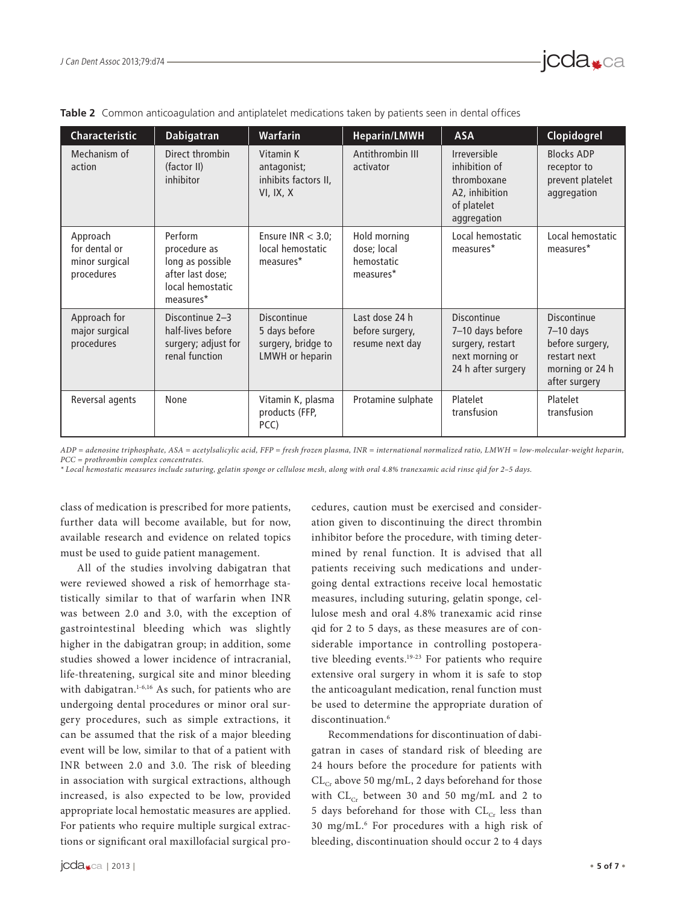

|  | Table 2 Common anticoagulation and antiplatelet medications taken by patients seen in dental offices |  |  |  |  |
|--|------------------------------------------------------------------------------------------------------|--|--|--|--|
|  |                                                                                                      |  |  |  |  |

*ADP = adenosine triphosphate, ASA = acetylsalicylic acid, FFP = fresh frozen plasma, INR = international normalized ratio, LMWH = low-molecular-weight heparin, PCC = prothrombin complex concentrates.*

*\* Local hemostatic measures include suturing, gelatin sponge or cellulose mesh, along with oral 4.8% tranexamic acid rinse qid for 2–5 days.*

class of medication is prescribed for more patients, further data will become available, but for now, available research and evidence on related topics must be used to guide patient management.

All of the studies involving dabigatran that were reviewed showed a risk of hemorrhage statistically similar to that of warfarin when INR was between 2.0 and 3.0, with the exception of gastrointestinal bleeding which was slightly higher in the dabigatran group; in addition, some studies showed a lower incidence of intracranial, life-threatening, surgical site and minor bleeding with dabigatran.<sup>1-6,16</sup> As such, for patients who are undergoing dental procedures or minor oral surgery procedures, such as simple extractions, it can be assumed that the risk of a major bleeding event will be low, similar to that of a patient with INR between 2.0 and 3.0. The risk of bleeding in association with surgical extractions, although increased, is also expected to be low, provided appropriate local hemostatic measures are applied. For patients who require multiple surgical extractions or significant oral maxillofacial surgical procedures, caution must be exercised and consideration given to discontinuing the direct thrombin inhibitor before the procedure, with timing determined by renal function. It is advised that all patients receiving such medications and undergoing dental extractions receive local hemostatic measures, including suturing, gelatin sponge, cellulose mesh and oral 4.8% tranexamic acid rinse qid for 2 to 5 days, as these measures are of considerable importance in controlling postoperative bleeding events.<sup>19-23</sup> For patients who require extensive oral surgery in whom it is safe to stop the anticoagulant medication, renal function must be used to determine the appropriate duration of discontinuation<sup>6</sup>

Recommendations for discontinuation of dabigatran in cases of standard risk of bleeding are 24 hours before the procedure for patients with  $CL_{Cr}$  above 50 mg/mL, 2 days beforehand for those with  $CL_{Cr}$  between 30 and 50 mg/mL and 2 to 5 days beforehand for those with  $CL_{Cr}$  less than 30 mg/mL.6 For procedures with a high risk of bleeding, discontinuation should occur 2 to 4 days

jcda<sub>sca</sub>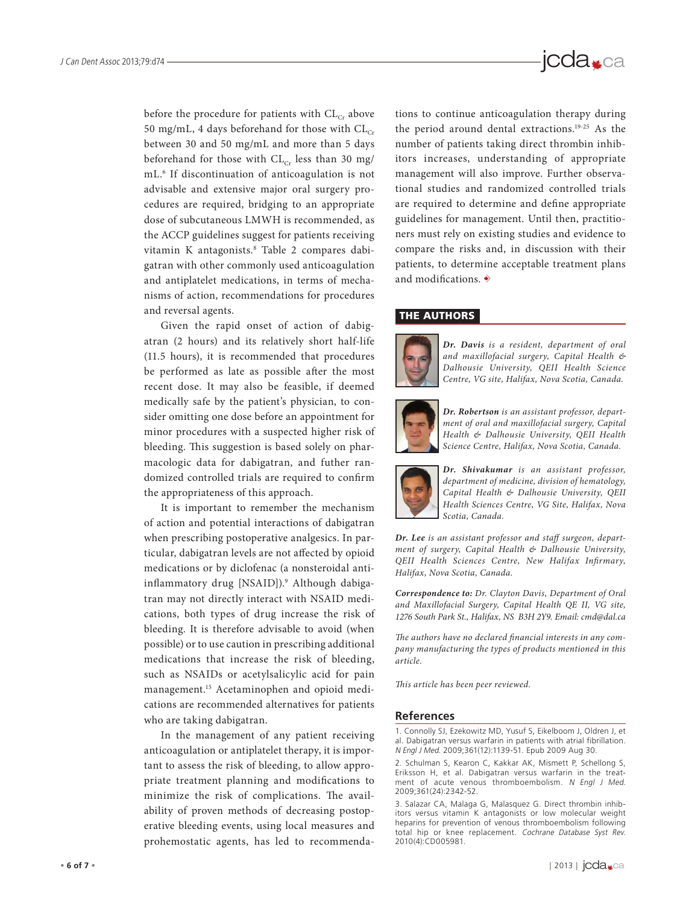

before the procedure for patients with  $CL_{Cr}$  above 50 mg/mL, 4 days beforehand for those with  $CL_{Cr}$ between 30 and 50 mg/mL and more than 5 days beforehand for those with  $CL_{Cr}$  less than 30 mg/ mL.6 If discontinuation of anticoagulation is not advisable and extensive major oral surgery procedures are required, bridging to an appropriate dose of subcutaneous LMWH is recommended, as the ACCP guidelines suggest for patients receiving vitamin K antagonists.8 Table 2 compares dabigatran with other commonly used anticoagulation and antiplatelet medications, in terms of mechanisms of action, recommendations for procedures and reversal agents.

Given the rapid onset of action of dabigatran (2 hours) and its relatively short half-life (11.5 hours), it is recommended that procedures be performed as late as possible after the most recent dose. It may also be feasible, if deemed medically safe by the patient's physician, to consider omitting one dose before an appointment for minor procedures with a suspected higher risk of bleeding. This suggestion is based solely on pharmacologic data for dabigatran, and futher randomized controlled trials are required to confirm the appropriateness of this approach.

It is important to remember the mechanism of action and potential interactions of dabigatran when prescribing postoperative analgesics. In particular, dabigatran levels are not affected by opioid medications or by diclofenac (a nonsteroidal antiinflammatory drug [NSAID]).9 Although dabigatran may not directly interact with NSAID medications, both types of drug increase the risk of bleeding. It is therefore advisable to avoid (when possible) or to use caution in prescribing additional medications that increase the risk of bleeding, such as NSAIDs or acetylsalicylic acid for pain management.15 Acetaminophen and opioid medications are recommended alternatives for patients who are taking dabigatran.

In the management of any patient receiving anticoagulation or antiplatelet therapy, it is important to assess the risk of bleeding, to allow appropriate treatment planning and modifications to minimize the risk of complications. The availability of proven methods of decreasing postoperative bleeding events, using local measures and prohemostatic agents, has led to recommendations to continue anticoagulation therapy during the period around dental extractions.<sup>19-25</sup> As the number of potients taking direct theories in it. number of patients taking direct thrombin inhibitors increases, understanding of appropriate management will also improve. Further observational studies and randomized controlled trials are required to determine and define appropriate guidelines for management. Until then, practitioners must rely on existing studies and evidence to compare the risks and, in discussion with their patients, to determine acceptable treatment plans and modifications.  $\dot{\mathbf{\diamond}}$ 

#### THE AUTHORS



*Dr. Davis is a resident, department of oral and maxillofacial surgery, Capital Health & Dalhousie University, QEII Health Science Centre, VG site, Halifax, Nova Scotia, Canada.*



*Dr. Robertson is an assistant professor, department of oral and maxillofacial surgery, Capital Health & Dalhousie University, QEII Health Science Centre, Halifax, Nova Scotia, Canada.*



*Dr. Shivakumar is an assistant professor, department of medicine, division of hematology, Capital Health & Dalhousie University, QEII Health Sciences Centre, VG Site, Halifax, Nova Scotia, Canada.*

*Dr. Lee is an assistant professor and staff surgeon, department of surgery, Capital Health & Dalhousie University, QEII Health Sciences Centre, New Halifax Infirmary, Halifax, Nova Scotia, Canada.* 

*Correspondence to: Dr. Clayton Davis, Department of Oral and Maxillofacial Surgery, Capital Health QE II, VG site, 1276 South Park St., Halifax, NS B3H 2Y9. Email: cmd@dal.ca*

*The authors have no declared financial interests in any company manufacturing the types of products mentioned in this article.*

*This article has been peer reviewed.*

#### **References**

1. Connolly SJ, Ezekowitz MD, Yusuf S, Eikelboom J, Oldren J, et al. Dabigatran versus warfarin in patients with atrial fibrillation. N Engl J Med. 2009;361(12):1139-51. Epub 2009 Aug 30.

<sup>2.</sup> Schulman S, Kearon C, Kakkar AK, Mismett P, Schellong S, Eriksson H, et al. Dabigatran versus warfarin in the treatment of acute venous thromboembolism. <sup>N</sup> Engl J Med. 2009;361(24):2342-52.

<sup>3.</sup> Salazar CA, Malaga G, Malasquez G. Direct thrombin inhibitors versus vitamin K antagonists or low molecular weight heparins for prevention of venous thromboembolism following total hip or knee replacement. Cochrane Database Syst Rev. 2010(4):CD005981.